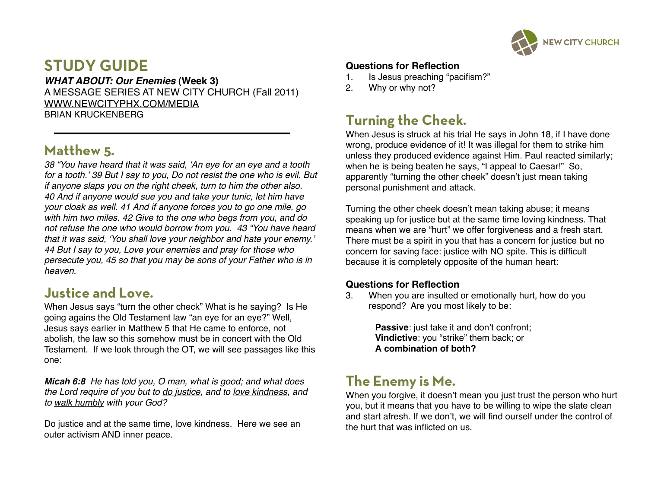

# **STUDY GUIDE**

*WHAT ABOUT: Our Enemies* **(Week 3)** A MESSAGE SERIES AT NEW CITY CHURCH (Fall 2011) [WWW.NEWCITYPHX.COM/MEDIA](http://WWW.NEWCITYPHX.COM/MEDIA) BRIAN KRUCKENBERG

## **Matthew 5.**

*38 "You have heard that it was said,* ʻ*An eye for an eye and a tooth for a tooth.*' *39 But I say to you, Do not resist the one who is evil. But if anyone slaps you on the right cheek, turn to him the other also. 40 And if anyone would sue you and take your tunic, let him have your cloak as well. 41 And if anyone forces you to go one mile, go with him two miles. 42 Give to the one who begs from you, and do not refuse the one who would borrow from you. 43 "You have heard that it was said,* ʻ*You shall love your neighbor and hate your enemy.*' *44 But I say to you, Love your enemies and pray for those who persecute you, 45 so that you may be sons of your Father who is in heaven.* 

## **Justice and Love.**

When Jesus says "turn the other check" What is he saying? Is He going agains the Old Testament law "an eye for an eye?" Well, Jesus says earlier in Matthew 5 that He came to enforce, not abolish, the law so this somehow must be in concert with the Old Testament. If we look through the OT, we will see passages like this one:

*Micah 6:8 He has told you, O man, what is good; and what does the Lord require of you but to do justice, and to love kindness, and to walk humbly with your God?*

Do justice and at the same time, love kindness. Here we see an outer activism AND inner peace.

#### **Questions for Reflection**

- 1. Is Jesus preaching "pacifism?"
- 2. Why or why not?

# **Turning the Cheek.**

When Jesus is struck at his trial He says in John 18, if I have done wrong, produce evidence of it! It was illegal for them to strike him unless they produced evidence against Him. Paul reacted similarly; when he is being beaten he says, "I appeal to Caesar!" So, apparently "turning the other cheek" doesn't just mean taking personal punishment and attack.

Turning the other cheek doesn't mean taking abuse; it means speaking up for justice but at the same time loving kindness. That means when we are "hurt" we offer forgiveness and a fresh start. There must be a spirit in you that has a concern for justice but no concern for saving face: justice with NO spite. This is difficult because it is completely opposite of the human heart:

#### **Questions for Reflection**

3. When you are insulted or emotionally hurt, how do you respond? Are you most likely to be:

> **Passive:** just take it and don't confront; **Vindictive**: you "strike" them back; or **A combination of both?**

# **The Enemy is Me.**

When you forgive, it doesn't mean you just trust the person who hurt you, but it means that you have to be willing to wipe the slate clean and start afresh. If we don't, we will find ourself under the control of the hurt that was inflicted on us.